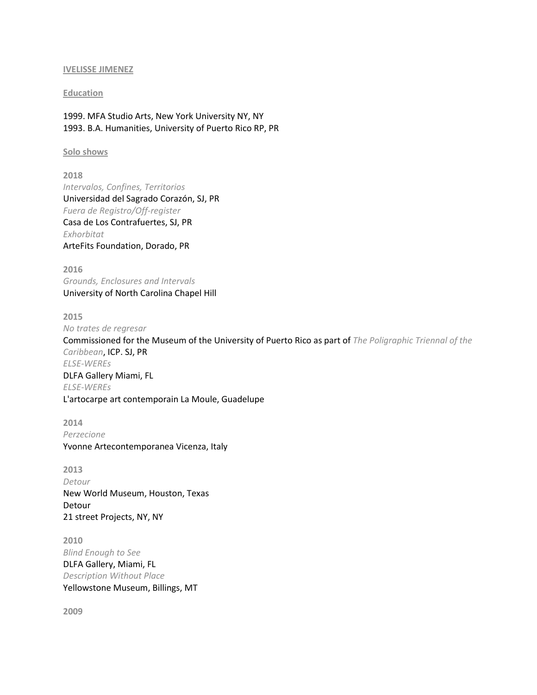#### **IVELISSE JIMENEZ**

### **Education**

1999. MFA Studio Arts, New York University NY, NY 1993. B.A. Humanities, University of Puerto Rico RP, PR

### **Solo shows**

**2018** *Intervalos, Confines, Territorios* Universidad del Sagrado Corazón, SJ, PR *Fuera de Registro/Off-register* Casa de Los Contrafuertes, SJ, PR *Exhorbitat* ArteFits Foundation, Dorado, PR

**2016** *Grounds, Enclosures and Intervals* University of North Carolina Chapel Hill

**2015** *No trates de regresar* Commissioned for the Museum of the University of Puerto Rico as part of *The Poligraphic Triennal of the Caribbean*, ICP. SJ, PR *ELSE-WEREs* DLFA Gallery Miami, FL *ELSE-WEREs* L'artocarpe art contemporain La Moule, Guadelupe

**2014** *Perzecione* Yvonne Artecontemporanea Vicenza, Italy

**2013** *Detour* New World Museum, Houston, Texas Detour 21 street Projects, NY, NY

**2010** *Blind Enough to See* DLFA Gallery, Miami, FL *Description Without Place* Yellowstone Museum, Billings, MT

**2009**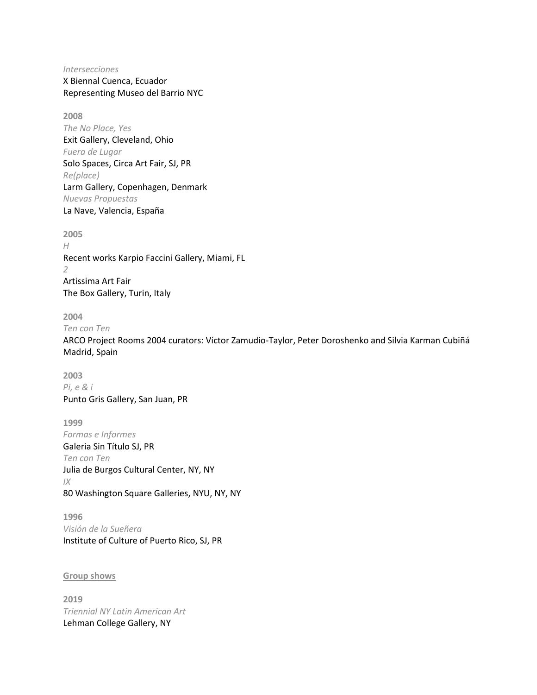*Intersecciones* X Biennal Cuenca, Ecuador Representing Museo del Barrio NYC

**2008** *The No Place, Yes* Exit Gallery, Cleveland, Ohio *Fuera de Lugar* Solo Spaces, Circa Art Fair, SJ, PR *Re(place)* Larm Gallery, Copenhagen, Denmark *Nuevas Propuestas* La Nave, Valencia, España

**2005** *H* Recent works Karpio Faccini Gallery, Miami, FL *2* Artissima Art Fair The Box Gallery, Turin, Italy

**2004**

*Ten con Ten*

ARCO Project Rooms 2004 curators: Víctor Zamudio-Taylor, Peter Doroshenko and Silvia Karman Cubiñá Madrid, Spain

**2003** *Pi, e & i* Punto Gris Gallery, San Juan, PR

**1999** *Formas e Informes* Galeria Sin Título SJ, PR *Ten con Ten* Julia de Burgos Cultural Center, NY, NY *IX* 80 Washington Square Galleries, NYU, NY, NY

**1996** *Visión de la Sueñera* Institute of Culture of Puerto Rico, SJ, PR

# **Group shows**

**2019** *Triennial NY Latin American Art* Lehman College Gallery, NY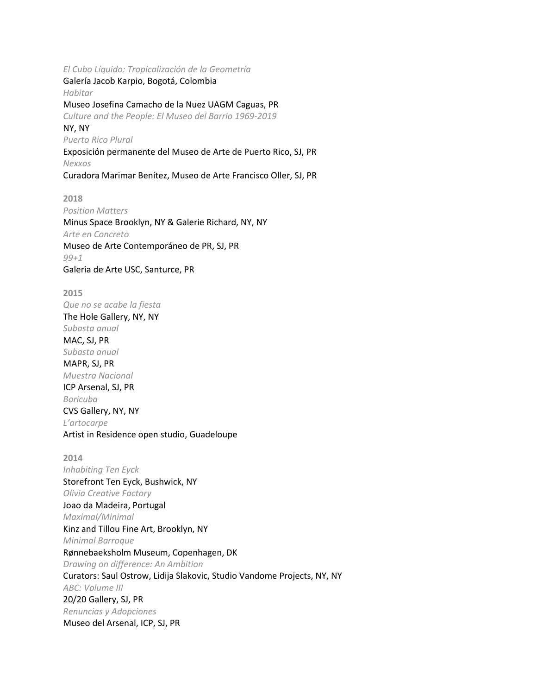*El Cubo Líquido: Tropicalización de la Geometría*

Galería Jacob Karpio, Bogotá, Colombia *Habitar* Museo Josefina Camacho de la Nuez UAGM Caguas, PR *Culture and the People: El Museo del Barrio 1969-2019* NY, NY *Puerto Rico Plural* Exposición permanente del Museo de Arte de Puerto Rico, SJ, PR *Nexxos*

Curadora Marimar Benítez, Museo de Arte Francisco Oller, SJ, PR

**2018** *Position Matters* Minus Space Brooklyn, NY & Galerie Richard, NY, NY *Arte en Concreto* Museo de Arte Contemporáneo de PR, SJ, PR *99+1* Galeria de Arte USC, Santurce, PR

**2015** *Que no se acabe la fiesta* The Hole Gallery, NY, NY *Subasta anual* MAC, SJ, PR *Subasta anual* MAPR, SJ, PR *Muestra Nacional* ICP Arsenal, SJ, PR *Boricuba* CVS Gallery, NY, NY *L'artocarpe* Artist in Residence open studio, Guadeloupe

**2014** *Inhabiting Ten Eyck* Storefront Ten Eyck, Bushwick, NY *Olivia Creative Factory* Joao da Madeira, Portugal *Maximal/Minimal* Kinz and Tillou Fine Art, Brooklyn, NY *Minimal Barroque* Rønnebaeksholm Museum, Copenhagen, DK *Drawing on difference: An Ambition* Curators: Saul Ostrow, Lidija Slakovic, Studio Vandome Projects, NY, NY *ABC: Volume III* 20/20 Gallery, SJ, PR *Renuncias y Adopciones* Museo del Arsenal, ICP, SJ, PR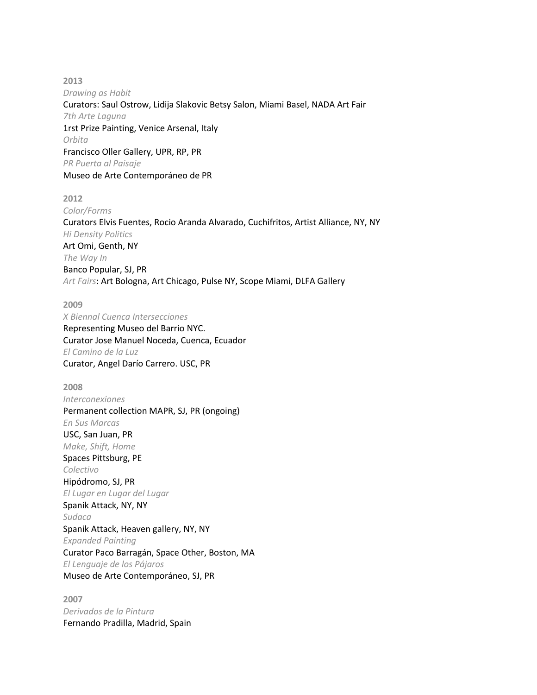**2013** *Drawing as Habit* Curators: Saul Ostrow, Lidija Slakovic Betsy Salon, Miami Basel, NADA Art Fair *7th Arte Laguna* 1rst Prize Painting, Venice Arsenal, Italy *Orbita* Francisco Oller Gallery, UPR, RP, PR *PR Puerta al Paisaje* Museo de Arte Contemporáneo de PR

**2012** *Color/Forms* Curators Elvis Fuentes, Rocio Aranda Alvarado, Cuchifritos, Artist Alliance, NY, NY *Hi Density Politics* Art Omi, Genth, NY *The Way In* Banco Popular, SJ, PR *Art Fairs*: Art Bologna, Art Chicago, Pulse NY, Scope Miami, DLFA Gallery

**2009** *X Biennal Cuenca Intersecciones* Representing Museo del Barrio NYC. Curator Jose Manuel Noceda, Cuenca, Ecuador *El Camino de la Luz* Curator, Angel Darío Carrero. USC, PR

**2008** *Interconexiones* Permanent collection MAPR, SJ, PR (ongoing) *En Sus Marcas* USC, San Juan, PR *Make, Shift, Home* Spaces Pittsburg, PE *Colectivo* Hipódromo, SJ, PR *El Lugar en Lugar del Lugar* Spanik Attack, NY, NY *Sudaca* Spanik Attack, Heaven gallery, NY, NY *Expanded Painting* Curator Paco Barragán, Space Other, Boston, MA *El Lenguaje de los Pájaros* Museo de Arte Contemporáneo, SJ, PR

**2007** *Derivados de la Pintura* Fernando Pradilla, Madrid, Spain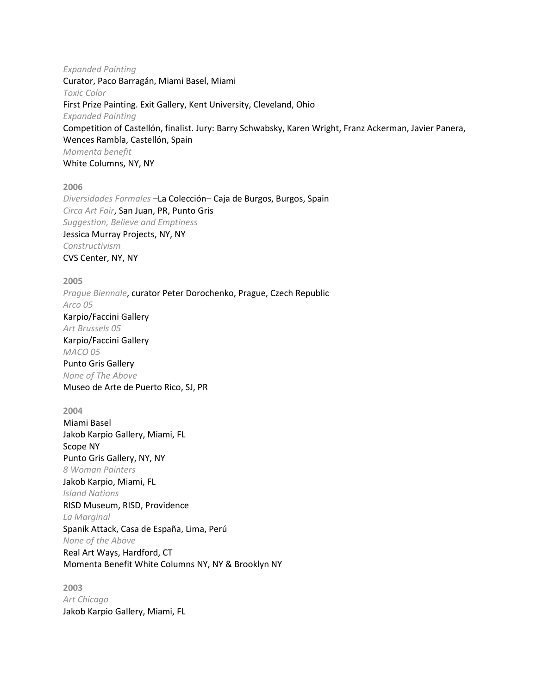*Expanded Painting* Curator, Paco Barragán, Miami Basel, Miami *Toxic Color* First Prize Painting. Exit Gallery, Kent University, Cleveland, Ohio *Expanded Painting* Competition of Castellón, finalist. Jury: Barry Schwabsky, Karen Wright, Franz Ackerman, Javier Panera, Wences Rambla, Castellón, Spain *Momenta benefit* White Columns, NY, NY

**2006**

*Diversidades Formales* –La Colección– Caja de Burgos, Burgos, Spain *Circa Art Fair*, San Juan, PR, Punto Gris *Suggestion, Believe and Emptiness* Jessica Murray Projects, NY, NY *Constructivism* CVS Center, NY, NY

**2005** *Prague Biennale*, curator Peter Dorochenko, Prague, Czech Republic *Arco 05*

Karpio/Faccini Gallery *Art Brussels 05* Karpio/Faccini Gallery *MACO 05* Punto Gris Gallery *None of The Above*

Museo de Arte de Puerto Rico, SJ, PR

**2004** Miami Basel Jakob Karpio Gallery, Miami, FL Scope NY Punto Gris Gallery, NY, NY *8 Woman Painters* Jakob Karpio, Miami, FL *Island Nations* RISD Museum, RISD, Providence *La Marginal* Spanik Attack, Casa de España, Lima, Perú *None of the Above* Real Art Ways, Hardford, CT Momenta Benefit White Columns NY, NY & Brooklyn NY

**2003** *Art Chicago* Jakob Karpio Gallery, Miami, FL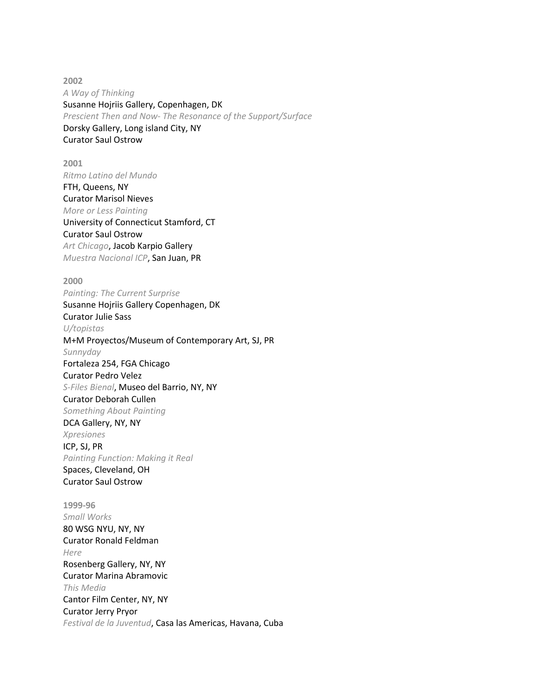**2002** *A Way of Thinking* Susanne Hojriis Gallery, Copenhagen, DK *Prescient Then and Now- The Resonance of the Support/Surface* Dorsky Gallery, Long island City, NY Curator Saul Ostrow

**2001** *Ritmo Latino del Mundo* FTH, Queens, NY Curator Marisol Nieves *More or Less Painting* University of Connecticut Stamford, CT Curator Saul Ostrow *Art Chicago*, Jacob Karpio Gallery *Muestra Nacional ICP*, San Juan, PR

**2000** *Painting: The Current Surprise* Susanne Hojriis Gallery Copenhagen, DK Curator Julie Sass *U/topistas* M+M Proyectos/Museum of Contemporary Art, SJ, PR *Sunnyday* Fortaleza 254, FGA Chicago Curator Pedro Velez *S-Files Bienal*, Museo del Barrio, NY, NY Curator Deborah Cullen *Something About Painting* DCA Gallery, NY, NY *Xpresiones* ICP, SJ, PR *Painting Function: Making it Real* Spaces, Cleveland, OH Curator Saul Ostrow **1999-96** *Small Works* 80 WSG NYU, NY, NY Curator Ronald Feldman *Here*

Rosenberg Gallery, NY, NY Curator Marina Abramovic *This Media* Cantor Film Center, NY, NY Curator Jerry Pryor *Festival de la Juventud*, Casa las Americas, Havana, Cuba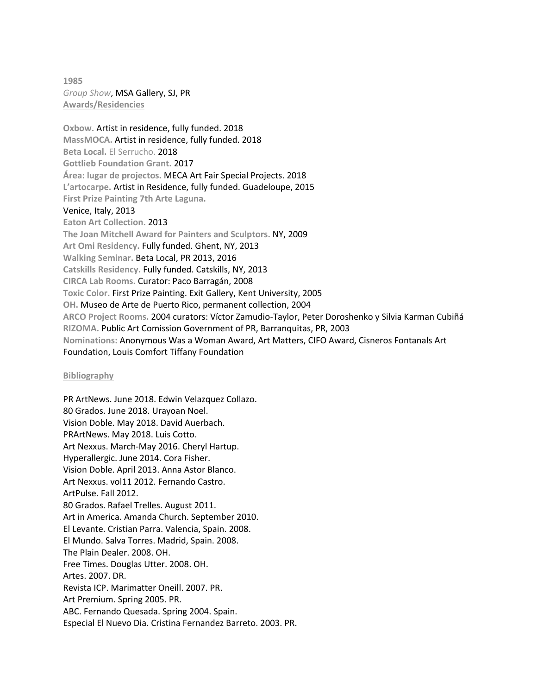**1985** *Group Show*, MSA Gallery, SJ, PR **Awards/Residencies**

**Oxbow.** Artist in residence, fully funded. 2018 **MassMOCA.** Artist in residence, fully funded. 2018 **Beta Local.** El Serrucho. 2018 **Gottlieb Foundation Grant.** 2017 **Área: lugar de projectos.** MECA Art Fair Special Projects. 2018 **L'artocarpe.** Artist in Residence, fully funded. Guadeloupe, 2015 **First Prize Painting 7th Arte Laguna.** Venice, Italy, 2013 **Eaton Art Collection.** 2013 **The Joan Mitchell Award for Painters and Sculptors.** NY, 2009 **Art Omi Residency.** Fully funded. Ghent, NY, 2013 **Walking Seminar.** Beta Local, PR 2013, 2016 **Catskills Residency.** Fully funded. Catskills, NY, 2013 **CIRCA Lab Rooms.** Curator: Paco Barragán, 2008 **Toxic Color.** First Prize Painting. Exit Gallery, Kent University, 2005 **OH.** Museo de Arte de Puerto Rico, permanent collection, 2004 **ARCO Project Rooms.** 2004 curators: Víctor Zamudio-Taylor, Peter Doroshenko y Silvia Karman Cubiñá **RIZOMA.** Public Art Comission Government of PR, Barranquitas, PR, 2003 **Nominations:** Anonymous Was a Woman Award, Art Matters, CIFO Award, Cisneros Fontanals Art Foundation, Louis Comfort Tiffany Foundation

## **Bibliography**

PR ArtNews. June 2018. Edwin Velazquez Collazo. 80 Grados. June 2018. Urayoan Noel. Vision Doble. May 2018. David Auerbach. PRArtNews. May 2018. Luis Cotto. Art Nexxus. March-May 2016. Cheryl Hartup. Hyperallergic. June 2014. Cora Fisher. Vision Doble. April 2013. Anna Astor Blanco. Art Nexxus. vol11 2012. Fernando Castro. ArtPulse. Fall 2012. 80 Grados. Rafael Trelles. August 2011. Art in America. Amanda Church. September 2010. El Levante. Cristian Parra. Valencia, Spain. 2008. El Mundo. Salva Torres. Madrid, Spain. 2008. The Plain Dealer. 2008. OH. Free Times. Douglas Utter. 2008. OH. Artes. 2007. DR. Revista ICP. Marimatter Oneill. 2007. PR. Art Premium. Spring 2005. PR. ABC. Fernando Quesada. Spring 2004. Spain. Especial El Nuevo Dia. Cristina Fernandez Barreto. 2003. PR.